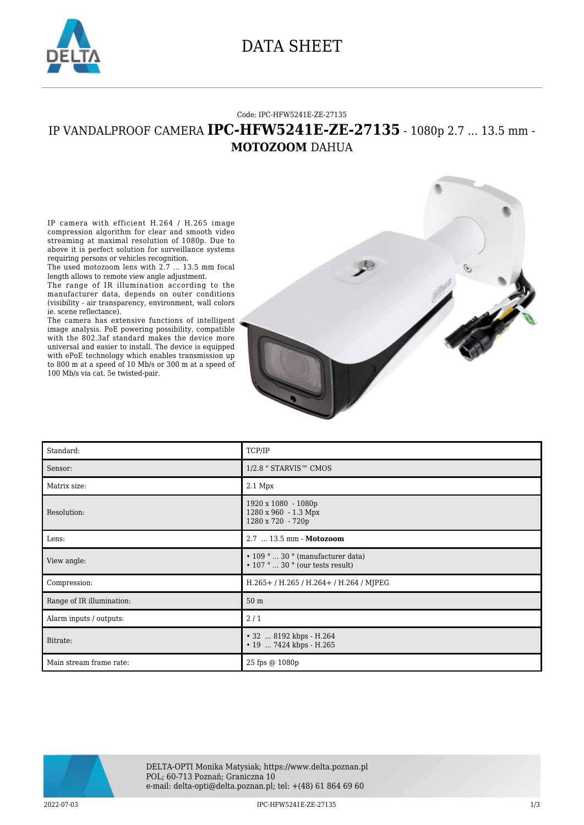

### DATA SHEET

#### Code: IPC-HFW5241E-ZE-27135

### IP VANDALPROOF CAMERA **IPC-HFW5241E-ZE-27135** - 1080p 2.7 ... 13.5 mm - **MOTOZOOM** DAHUA

IP camera with efficient H.264 / H.265 image compression algorithm for clear and smooth video streaming at maximal resolution of 1080p. Due to above it is perfect solution for surveillance systems requiring persons or vehicles recognition.

The used motozoom lens with 2.7 ... 13.5 mm focal length allows to remote view angle adjustment.

The range of IR illumination according to the manufacturer data, depends on outer conditions (visibility - air transparency, environment, wall colors ie. scene reflectance).

The camera has extensive functions of intelligent image analysis. PoE powering possibility, compatible with the 802.3af standard makes the device more universal and easier to install. The device is equipped with ePoE technology which enables transmission up to 800 m at a speed of 10 Mb/s or 300 m at a speed of 100 Mb/s via cat. 5e twisted-pair.



| Standard:                 | TCP/IP                                                                            |
|---------------------------|-----------------------------------------------------------------------------------|
| Sensor:                   | 1/2.8 " STARVIS™ CMOS                                                             |
| Matrix size:              | 2.1 Mpx                                                                           |
| Resolution:               | 1920 x 1080 - 1080p<br>1280 x 960 - 1.3 Mpx<br>1280 x 720 - 720p                  |
| Lens:                     | 2.7  13.5 mm - Motozoom                                                           |
| View angle:               | $\cdot$ 109 °  30 ° (manufacturer data)<br>$\cdot$ 107 °  30 ° (our tests result) |
| Compression:              | H.265+/H.265/H.264+/H.264/MJPEG                                                   |
| Range of IR illumination: | 50 <sub>m</sub>                                                                   |
| Alarm inputs / outputs:   | 2/1                                                                               |
| Bitrate:                  | • 32  8192 kbps - H.264<br>• 19  7424 kbps - H.265                                |
| Main stream frame rate:   | 25 fps @ 1080p                                                                    |



2022-07-03 IPC-HFW5241E-ZE-27135 1/3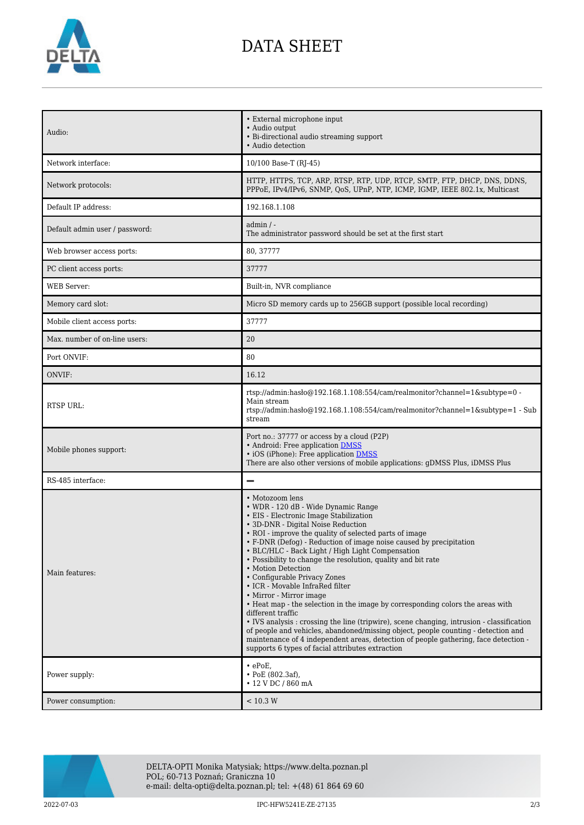

# DATA SHEET

| Audio:                         | • External microphone input<br>• Audio output<br>• Bi-directional audio streaming support<br>• Audio detection                                                                                                                                                                                                                                                                                                                                                                                                                                                                                                                                                                                                                                                                                                                                                                                                                                     |
|--------------------------------|----------------------------------------------------------------------------------------------------------------------------------------------------------------------------------------------------------------------------------------------------------------------------------------------------------------------------------------------------------------------------------------------------------------------------------------------------------------------------------------------------------------------------------------------------------------------------------------------------------------------------------------------------------------------------------------------------------------------------------------------------------------------------------------------------------------------------------------------------------------------------------------------------------------------------------------------------|
| Network interface:             | 10/100 Base-T (RJ-45)                                                                                                                                                                                                                                                                                                                                                                                                                                                                                                                                                                                                                                                                                                                                                                                                                                                                                                                              |
| Network protocols:             | HTTP, HTTPS, TCP, ARP, RTSP, RTP, UDP, RTCP, SMTP, FTP, DHCP, DNS, DDNS,<br>PPPoE, IPv4/IPv6, SNMP, QoS, UPnP, NTP, ICMP, IGMP, IEEE 802.1x, Multicast                                                                                                                                                                                                                                                                                                                                                                                                                                                                                                                                                                                                                                                                                                                                                                                             |
| Default IP address:            | 192.168.1.108                                                                                                                                                                                                                                                                                                                                                                                                                                                                                                                                                                                                                                                                                                                                                                                                                                                                                                                                      |
| Default admin user / password: | $admin / -$<br>The administrator password should be set at the first start                                                                                                                                                                                                                                                                                                                                                                                                                                                                                                                                                                                                                                                                                                                                                                                                                                                                         |
| Web browser access ports:      | 80, 37777                                                                                                                                                                                                                                                                                                                                                                                                                                                                                                                                                                                                                                                                                                                                                                                                                                                                                                                                          |
| PC client access ports:        | 37777                                                                                                                                                                                                                                                                                                                                                                                                                                                                                                                                                                                                                                                                                                                                                                                                                                                                                                                                              |
| <b>WEB</b> Server:             | Built-in, NVR compliance                                                                                                                                                                                                                                                                                                                                                                                                                                                                                                                                                                                                                                                                                                                                                                                                                                                                                                                           |
| Memory card slot:              | Micro SD memory cards up to 256GB support (possible local recording)                                                                                                                                                                                                                                                                                                                                                                                                                                                                                                                                                                                                                                                                                                                                                                                                                                                                               |
| Mobile client access ports:    | 37777                                                                                                                                                                                                                                                                                                                                                                                                                                                                                                                                                                                                                                                                                                                                                                                                                                                                                                                                              |
| Max. number of on-line users:  | 20                                                                                                                                                                                                                                                                                                                                                                                                                                                                                                                                                                                                                                                                                                                                                                                                                                                                                                                                                 |
| Port ONVIF:                    | 80                                                                                                                                                                                                                                                                                                                                                                                                                                                                                                                                                                                                                                                                                                                                                                                                                                                                                                                                                 |
| ONVIF:                         | 16.12                                                                                                                                                                                                                                                                                                                                                                                                                                                                                                                                                                                                                                                                                                                                                                                                                                                                                                                                              |
| <b>RTSP URL:</b>               | rtsp://admin.hasb@192.168.1.108:554/cam/realmonitor?channel=1&subtype=0 -<br>Main stream<br>rtsp://admin:haslo $@192.168.1.108.554/cam/realmonitor?channel=1$ &subtype=1 - Sub<br>stream                                                                                                                                                                                                                                                                                                                                                                                                                                                                                                                                                                                                                                                                                                                                                           |
| Mobile phones support:         | Port no.: 37777 or access by a cloud (P2P)<br>• Android: Free application DMSS<br>• iOS (iPhone): Free application DMSS<br>There are also other versions of mobile applications: gDMSS Plus, iDMSS Plus                                                                                                                                                                                                                                                                                                                                                                                                                                                                                                                                                                                                                                                                                                                                            |
| RS-485 interface:              |                                                                                                                                                                                                                                                                                                                                                                                                                                                                                                                                                                                                                                                                                                                                                                                                                                                                                                                                                    |
| Main features:                 | • Motozoom lens<br>• WDR - 120 dB - Wide Dynamic Range<br>• EIS - Electronic Image Stabilization<br>• 3D-DNR - Digital Noise Reduction<br>• ROI - improve the quality of selected parts of image<br>• F-DNR (Defog) - Reduction of image noise caused by precipitation<br>• BLC/HLC - Back Light / High Light Compensation<br>• Possibility to change the resolution, quality and bit rate<br>• Motion Detection<br>• Configurable Privacy Zones<br>• ICR - Movable InfraRed filter<br>• Mirror - Mirror image<br>• Heat map - the selection in the image by corresponding colors the areas with<br>different traffic<br>• IVS analysis : crossing the line (tripwire), scene changing, intrusion - classification<br>of people and vehicles, abandoned/missing object, people counting - detection and<br>maintenance of 4 independent areas, detection of people gathering, face detection -<br>supports 6 types of facial attributes extraction |
| Power supply:                  | $\cdot$ ePoE,<br>$\cdot$ PoE (802.3af),<br>• 12 V DC / 860 mA                                                                                                                                                                                                                                                                                                                                                                                                                                                                                                                                                                                                                                                                                                                                                                                                                                                                                      |
| Power consumption:             | < 10.3 W                                                                                                                                                                                                                                                                                                                                                                                                                                                                                                                                                                                                                                                                                                                                                                                                                                                                                                                                           |



DELTA-OPTI Monika Matysiak; https://www.delta.poznan.pl POL; 60-713 Poznań; Graniczna 10 e-mail: delta-opti@delta.poznan.pl; tel: +(48) 61 864 69 60